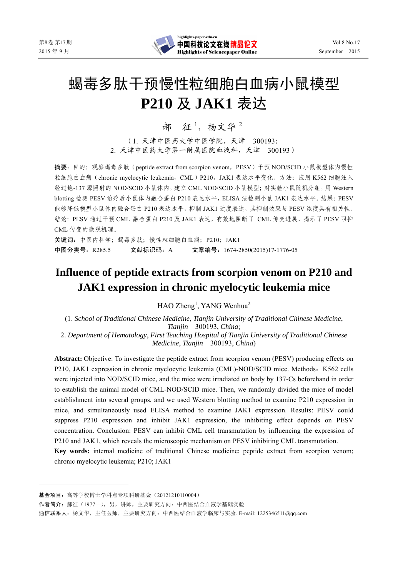

# 蝎毒多肽干预慢性粒细胞白血病小鼠模型 **P210** 及 **JAK1** 表达

郝 征<sup>1</sup>, 杨文华<sup>2</sup>

(1. 天津中医药大学中医学院,天津 300193; 2. 天津中医药大学第一附属医院血液科,天津 300193)

摘要: 目的: 观察蝎毒多肽 (peptide extract from scorpion venom, PESV) 干预 NOD/SCID 小鼠模型体内慢性 粒细胞白血病(chronic myelocytic leukemia,CML)P210,JAK1 表达水平变化。方法:应用 K562 细胞注入 经过铯-137 源照射的 NOD/SCID 小鼠体内, 建立 CML NOD/SCID 小鼠模型; 对实验小鼠随机分组, 用 Western blotting 检测 PESV 治疗后小鼠体内融合蛋白 P210 表达水平, ELISA 法检测小鼠 JAK1 表达水平。结果: PESV 能够降低模型小鼠体内融合蛋白 P210 表达水平,抑制 JAK1 过度表达,其抑制效果与 PESV 浓度具有相关性。 结论:PESV 通过干预 CML 融合蛋白 P210 及 JAK1 表达,有效地阻断了 CML 传变进展,揭示了 PESV 阻抑 CML 传变的微观机理。

关键词:中医内科学;蝎毒多肽;慢性粒细胞白血病;P210;JAK1 中图分类号:R285.5 文献标识码:A 文章编号:1674-2850(2015)17-1776-05

# **Influence of peptide extracts from scorpion venom on P210 and JAK1 expression in chronic myelocytic leukemia mice**

HAO Zheng<sup>1</sup>, YANG Wenhua<sup>2</sup>

(1. *School of Traditional Chinese Medicine*, *Tianjin University of Traditional Chinese Medicine*, *Tianjin* 300193, *China*; 2. *Department of Hematology*, *First Teaching Hospital of Tianjin University of Traditional Chinese Medicine*, *Tianjin* 300193, *China*)

**Abstract:** Objective: To investigate the peptide extract from scorpion venom (PESV) producing effects on P210, JAK1 expression in chronic myelocytic leukemia (CML)-NOD/SCID mice. Methods: K562 cells were injected into NOD/SCID mice, and the mice were irradiated on body by 137-Cs beforehand in order to establish the animal model of CML-NOD/SCID mice. Then, we randomly divided the mice of model establishment into several groups, and we used Western blotting method to examine P210 expression in mice, and simultaneously used ELISA method to examine JAK1 expression. Results: PESV could suppress P210 expression and inhibit JAK1 expression, the inhibiting effect depends on PESV concentration. Conclusion: PESV can inhibit CML cell transmutation by influencing the expression of P210 and JAK1, which reveals the microscopic mechanism on PESV inhibiting CML transmutation.

**Key words:** internal medicine of traditional Chinese medicine; peptide extract from scorpion venom; chronic myelocytic leukemia; P210; JAK1

基金项目:高等学校博士学科点专项科研基金(20121210110004)

作者简介:郝征(1977—),男,讲师,主要研究方向:中西医结合血液学基础实验

通信联系人:杨文华,主任医师,主要研究方向:中西医结合血液学临床与实验. E-mail: 1225346511@qq.com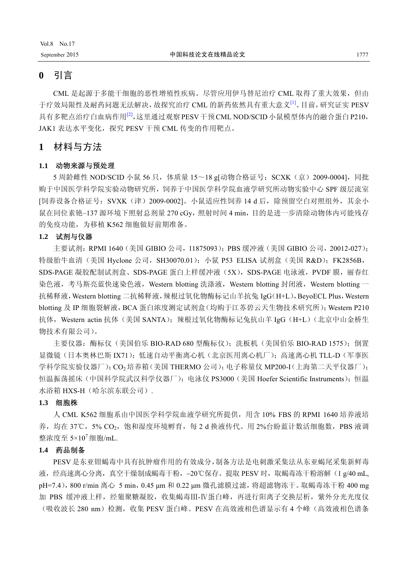### **0** 引言

CML 是起源于多能干细胞的恶性增殖性疾病。尽管应用伊马替尼治疗 CML 取得了重大效果,但由 于疗效局限性及耐药问题无法解决,故探究治疗 CML 的新药依然具有重大意义[1]。目前,研究证实 PESV 具有多靶点治疗白血病作用<sup>[2]</sup>,这里通过观察 PESV干预 CML NOD/SCID 小鼠模型体内的融合蛋白 P210, JAK1 表达水平变化, 探究 PESV 干预 CML 传变的作用靶点。

### **1** 材料与方法

#### **1.1** 动物来源与预处理

5 周龄雌性 NOD/SCID 小鼠 56 只, 体质量 15~18 g[动物合格证号: SCXK (京) 2009-0004], 同批 购于中国医学科学院实验动物研究所,饲养于中国医学科学院血液学研究所动物实验中心 SPF 级层流室 [饲养设备合格证号:SVXK(津)2009-0002]。小鼠适应性饲养 14 d 后,除预留空白对照组外,其余小 鼠在同位素铯-137 源环境下照射总剂量 270 cGy, 照射时间 4 min, 目的是进一步清除动物体内可能残存 的免疫功能,为移植 K562 细胞做好前期准备。

#### **1.2** 试剂与仪器

主要试剂:RPMI 1640 (美国 GIBIO 公司, 11875093);PBS 缓冲液 (美国 GIBIO 公司, 20012-027); 特级胎牛血清(美国 Hyclone 公司, SH30070.01);小鼠 P53 ELISA 试剂盒(美国 R&D); FK2856B, SDS-PAGE 凝胶配制试剂盒、SDS-PAGE 蛋白上样缓冲液(5X), SDS-PAGE 电泳液, PVDF 膜, 丽春红 染色液,考马斯亮蓝快速染色液, Western blotting 洗涤液, Western blotting 封闭液, Western blotting 一 抗稀释液, Western blotting 二抗稀释液, 辣根过氧化物酶标记山羊抗兔 IgG(H+L), BeyoECL Plus, Western blotting 及 IP 细胞裂解液,BCA 蛋白浓度测定试剂盒(均购于江苏碧云天生物技术研究所);Western P210 抗体, Western actin 抗体(美国 SANTA); 辣根过氧化物酶标记兔抗山羊 IgG (H+L)(北京中山金桥生 物技术有限公司)。

主要仪器: 酶标仪(美国伯乐 BIO-RAD 680 型酶标仪);洗板机(美国伯乐 BIO-RAD 1575); 倒置 显微镜(日本奥林巴斯 IX71);低速自动平衡离心机(北京医用离心机厂);高速离心机 TLL-D(军事医 学科学院实验仪器厂);CO2 培养箱(美国 THERMO 公司);电子称量仪 MP200-I(上海第二天平仪器厂); 恒温振荡摇床(中国科学院武汉科学仪器厂);电泳仪 PS3000(美国 Hoefer Scientific Instruments);恒温 水浴箱 HXS-H(哈尔滨东联公司).

#### **1.3** 细胞株

人 CML K562 细胞系由中国医学科学院血液学研究所提供,用含 10% FBS 的 RPMI 1640 培养液培 养,均在 37℃, 5% CO<sub>2</sub>, 饱和湿度环境孵育, 每 2 d 换液传代。用 2%台盼蓝计数活细胞数, PBS 液调 整浓度至  $5 \times 10^7$ 细胞/mL.

#### **1.4** 药品制备

PESV 是东亚钳蝎毒中具有抗肿瘤作用的有效成分,制备方法是电刺激采集法从东亚蝎尾采集新鲜毒 液,经高速离心分离,真空干燥制成蝎毒干粉,-20℃保存。提取 PESV 时,取蝎毒冻干粉溶解(1 g/40 mL, pH=7.4),800 r/min 离心 5 min,0.45 μm 和 0.22 μm 微孔滤膜过滤,将超滤物冻干。取蝎毒冻干粉 400 mg 加 PBS 缓冲液上样,经葡聚糖凝胶,收集蝎毒Ⅲ-Ⅳ蛋白峰,再进行阳离子交换层析,紫外分光光度仪 (吸收波长 280 nm)检测,收集 PESV 蛋白峰。PESV 在高效液相色谱显示有 4 个峰(高效液相色谱条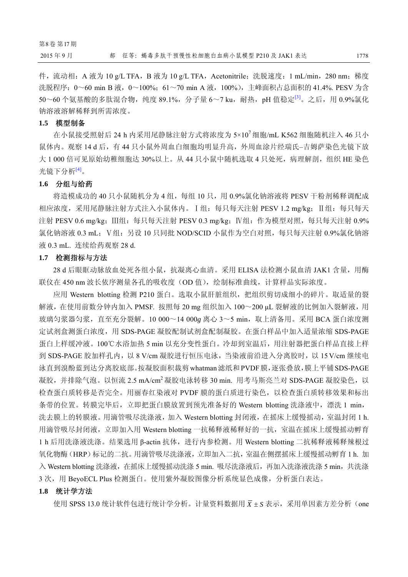件,流动相: A 液为 10 g/L TFA, B 液为 10 g/L TFA, Acetonitrile; 洗脱速度: 1 mL/min, 280 nm; 梯度 洗脱程序: 0~60 min B 液, 0~100%; 61~70 min A 液, 100%), 主峰面积占总面积的 41.4%. PESV 为含 50~60个氨基酸的多肽混合物,纯度 89.1%, 分子量 6~7 ku, 耐热, pH 值稳定<sup>[3]</sup>。之后, 用 0.9%氯化 钠溶液溶解稀释到所需浓度。

#### **1.5** 模型制备

在小鼠接受照射后 24 h 内采用尾静脉注射方式将浓度为 5×10<sup>7</sup> 细胞/mL K562 细胞随机注入 46 只小 鼠体内。观察 14 d 后, 有 44 只小鼠外周血白细胞均明显升高, 外周血涂片经瑞氏-吉姆萨染色光镜下放 大 1 000 倍可见原始幼稚细胞达 30%以上。从 44 只小鼠中随机选取 4 只处死,病理解剖,组织 HE 染色 光镜下分析[4]。

#### **1.6** 分组与给药

将造模成功的 40 只小鼠随机分为 4 组,每组 10 只,用 0.9%氯化钠溶液将 PESV 干粉剂稀释调配成 相应浓度,采用尾静脉注射方式注入小鼠体内。Ⅰ组:每只每天注射 PESV 1.2 mg/kg;Ⅱ组:每只每天 注射 PESV 0.6 mg/kg; Ⅲ组: 每只每天注射 PESV 0.3 mg/kg; Ⅳ组: 作为模型对照, 每只每天注射 0.9% 氯化钠溶液 0.3 mL; V组: 另设 10 只同批 NOD/SCID 小鼠作为空白对照, 每只每天注射 0.9%氯化钠溶 液 0.3 mL. 连续给药观察 28 d.

#### **1.7** 检测指标与方法

28 d 后眼眶动脉放血处死各组小鼠,抗凝离心血清。采用 ELISA 法检测小鼠血清 JAK1 含量,用酶 联仪在 450 nm 波长依序测量各孔的吸收度(OD 值),绘制标准曲线,计算样品实际浓度。

应用 Western blotting 检测 P210 蛋白。选取小鼠肝脏组织,把组织剪切成细小的碎片。取适量的裂 解液, 在使用前数分钟内加入 PMSF. 按照每 20 mg 组织加入 100~200 μL 裂解液的比例加入裂解液, 用 玻璃匀浆器匀浆, 直至充分裂解。10 000~14 000g 离心 3~5 min, 取上清备用。采用 BCA 蛋白浓度测 定试剂盒测蛋白浓度,用 SDS-PAGE 凝胶配制试剂盒配制凝胶。在蛋白样品中加入适量浓缩 SDS-PAGE 蛋白上样缓冲液。100℃水浴加热 5 min 以充分变性蛋白。冷却到室温后,用注射器把蛋白样品直接上样 到 SDS-PAGE 胶加样孔内, 以 8 V/cm 凝胶进行恒压电泳, 当染液前沿进入分离胶时, 以 15 V/cm 继续电 泳直到溴酚蓝到达分离胶底部。按凝胶面积裁剪whatman滤纸和PVDF膜,逐张叠放,膜上平铺SDS-PAGE 凝胶,并排除气泡。以恒流 2.5 mA/cm<sup>2</sup> 凝胶电泳转移 30 min. 用考马斯亮兰对 SDS-PAGE 凝胶染色, 以 检查蛋白质转移是否完全。用丽春红染液对 PVDF 膜的蛋白质进行染色,以检查蛋白质转移效果和标出 条带的位置。转膜完毕后,立即把蛋白膜放置到预先准备好的 Western blotting 洗涤液中,漂洗 1 min, 洗去膜上的转膜液。用滴管吸尽洗涤液,加入 Western blotting 封闭液,在摇床上缓慢摇动,室温封闭 1 h. 用滴管吸尽封闭液,立即加入用 Western blotting 一抗稀释液稀释好的一抗,室温在摇床上缓慢摇动孵育 1 h 后用洗涤液洗涤。结果选用 β-actin 抗体,进行内参检测。用 Western blotting 二抗稀释液稀释辣根过 氧化物酶(HRP)标记的二抗。用滴管吸尽洗涤液,立即加入二抗,室温在侧摆摇床上缓慢摇动孵育 1 h. 加 入 Western blotting 洗涤液, 在摇床上缓慢摇动洗涤 5 min. 吸尽洗涤液后, 再加入洗涤液洗涤 5 min, 共洗涤 3 次, 用 BeyoECL Plus 检测蛋白。使用紫外凝胶图像分析系统显色成像, 分析蛋白表达。

#### **1.8** 统计学方法

使用 SPSS 13.0 统计软件包进行统计学分析。计量资料数据用  $\bar{X} \pm S$  表示, 采用单因素方差分析 (one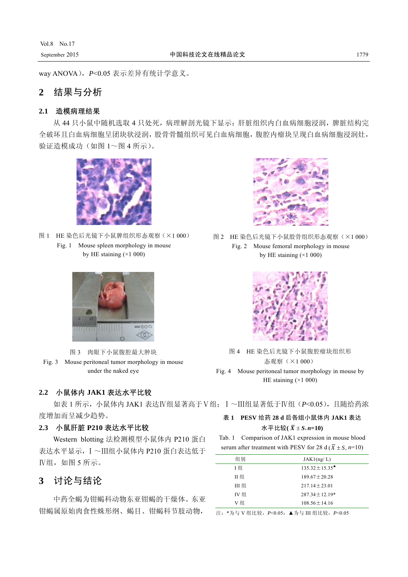way ANOVA),*P*<0.05 表示差异有统计学意义。

### **2** 结果与分析

### **2.1** 造模病理结果

从 44 只小鼠中随机选取 4 只处死,病理解剖光镜下显示: 肝脏组织内白血病细胞浸润,脾脏结构完 全破坏且白血病细胞呈团块状浸润,股骨骨髓组织可见白血病细胞,腹腔内瘤块呈现白血病细胞浸润灶, 验证造模成功(如图 1~图 4 所示)。



- 图 1 HE 染色后光镜下小鼠脾组织形态观察(×1 000)
	- Fig. 1 Mouse spleen morphology in mouse by HE staining  $(\times 1 000)$



图 3 肉眼下小鼠腹腔最大肿块 Fig. 3 Mouse peritoneal tumor morphology in mouse under the naked eye

### **2.2** 小鼠体内 **JAK1** 表达水平比较

如表 1 所示,小鼠体内 JAK1 表达Ⅳ组显著高于Ⅴ组;Ⅰ~Ⅲ组显著低于Ⅳ组(*P*<0.05),且随给药浓 度增加而呈减少趋势。 表 **1 PESV** 给药 **28 d** 后各组小鼠体内 **JAK1** 表达

### **2.3** 小鼠肝脏 **P210** 表达水平比较

Western blotting 法检测模型小鼠体内 P210 蛋白 表达水平显示,Ⅰ~Ⅲ组小鼠体内 P210 蛋白表达低于 **IV组,如图 5 所示。** 

## **3** 讨论与结论

中药全蝎为钳蝎科动物东亚钳蝎的干燥体。东亚 钳蝎属原始肉食性蛛形纲、蝎目、钳蝎科节肢动物,



图 2 HE 染色后光镜下小鼠股骨组织形态观察(×1 000) Fig. 2 Mouse femoral morphology in mouse by HE staining  $(\times 1000)$ 



图 4 HE 染色后光镜下小鼠腹腔瘤块组织形 态观察(×1 000) Fig. 4 Mouse peritoneal tumor morphology in mouse by HE staining  $(\times 1 000)$ 

# $k \sqrt{T}$ 比较 $(\bar{X} \pm S, n=10)$

Tab. 1 Comparison of JAK1 expression in mouse blood serum after treatment with PESV for 28 d ( $\overline{X} \pm S$ , *n*=10)

| 组别    | JAK1(ng/L)                                           |
|-------|------------------------------------------------------|
| 王组    | $135.32 \pm 15.35$ <sup><math>\triangle</math></sup> |
| Ⅱ 组   | $189.67 + 20.28$                                     |
| III 组 | $217.14 + 23.01$                                     |
| IV 组  | $287.34 + 12.19*$                                    |
| V 组   | $108.56 + 14.16$                                     |

注:\*为与 V 组比较,*P*<0.05;▲为与 III 组比较,*P*<0.05